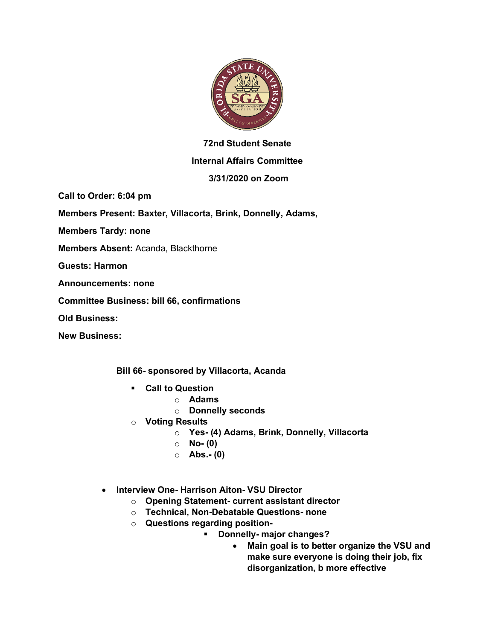

## **72nd Student Senate**

## **Internal Affairs Committee**

## **3/31/2020 on Zoom**

**Call to Order: 6:04 pm**

**Members Present: Baxter, Villacorta, Brink, Donnelly, Adams,** 

**Members Tardy: none**

**Members Absent:** Acanda, Blackthorne

**Guests: Harmon**

**Announcements: none**

**Committee Business: bill 66, confirmations**

**Old Business:**

**New Business:**

**Bill 66- sponsored by Villacorta, Acanda**

- § **Call to Question**
	- o **Adams**
	- o **Donnelly seconds**
- o **Voting Results**
	- o **Yes- (4) Adams, Brink, Donnelly, Villacorta**
	- o **No- (0)**
	- o **Abs.- (0)**
- **Interview One- Harrison Aiton- VSU Director**
	- o **Opening Statement- current assistant director**
	- o **Technical, Non-Debatable Questions- none**
	- o **Questions regarding position-**
		- § **Donnelly- major changes?**
			- **Main goal is to better organize the VSU and make sure everyone is doing their job, fix disorganization, b more effective**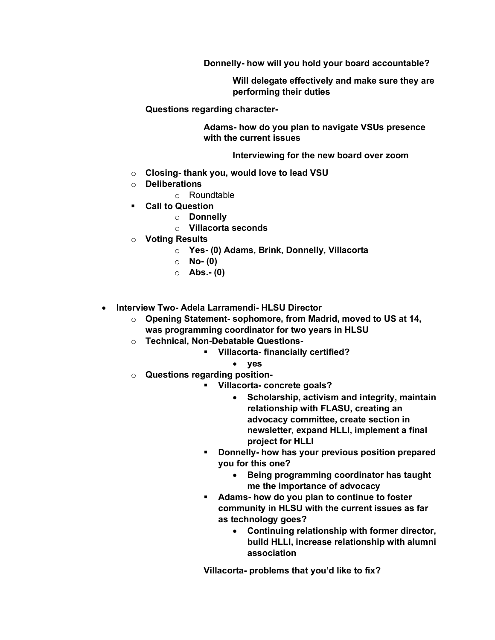**Donnelly- how will you hold your board accountable?**

**Will delegate effectively and make sure they are performing their duties**

**Questions regarding character-**

**Adams- how do you plan to navigate VSUs presence with the current issues**

**Interviewing for the new board over zoom**

- o **Closing- thank you, would love to lead VSU**
- o **Deliberations**
	- o Roundtable
- § **Call to Question**
	- o **Donnelly**
	- o **Villacorta seconds**
- o **Voting Results**
	- o **Yes- (0) Adams, Brink, Donnelly, Villacorta**
	- o **No- (0)**
	- o **Abs.- (0)**
- **Interview Two- Adela Larramendi- HLSU Director**
	- o **Opening Statement- sophomore, from Madrid, moved to US at 14, was programming coordinator for two years in HLSU**
	- o **Technical, Non-Debatable Questions-**
		- § **Villacorta- financially certified?**
			- **yes**
	- o **Questions regarding position-**
		- § **Villacorta- concrete goals?**
			- **Scholarship, activism and integrity, maintain relationship with FLASU, creating an advocacy committee, create section in newsletter, expand HLLI, implement a final project for HLLI**
			- § **Donnelly- how has your previous position prepared you for this one?**
				- **Being programming coordinator has taught me the importance of advocacy**
			- § **Adams- how do you plan to continue to foster community in HLSU with the current issues as far as technology goes?**
				- **Continuing relationship with former director, build HLLI, increase relationship with alumni association**

**Villacorta- problems that you'd like to fix?**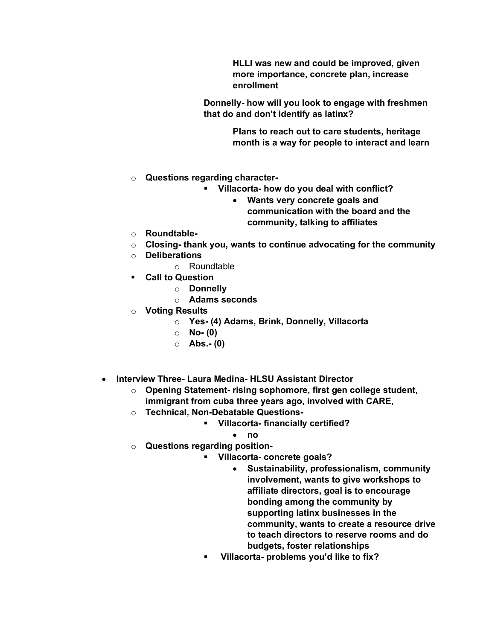**HLLI was new and could be improved, given more importance, concrete plan, increase enrollment**

**Donnelly- how will you look to engage with freshmen that do and don't identify as latinx?**

> **Plans to reach out to care students, heritage month is a way for people to interact and learn**

- o **Questions regarding character-**
	- § **Villacorta- how do you deal with conflict?**
		- **Wants very concrete goals and communication with the board and the community, talking to affiliates**
- o **Roundtable-**
- o **Closing- thank you, wants to continue advocating for the community**
- o **Deliberations**
	- o Roundtable
- § **Call to Question**
	- o **Donnelly**
	- o **Adams seconds**
- o **Voting Results**
	- o **Yes- (4) Adams, Brink, Donnelly, Villacorta**
	- o **No- (0)**
	- o **Abs.- (0)**
- **Interview Three- Laura Medina- HLSU Assistant Director**
	- o **Opening Statement- rising sophomore, first gen college student, immigrant from cuba three years ago, involved with CARE,**
	- o **Technical, Non-Debatable Questions-**
		- § **Villacorta- financially certified?**
			- **no**
	- o **Questions regarding position-**
		- § **Villacorta- concrete goals?**
			- **Sustainability, professionalism, community involvement, wants to give workshops to affiliate directors, goal is to encourage bonding among the community by supporting latinx businesses in the community, wants to create a resource drive to teach directors to reserve rooms and do budgets, foster relationships**
		- § **Villacorta- problems you'd like to fix?**